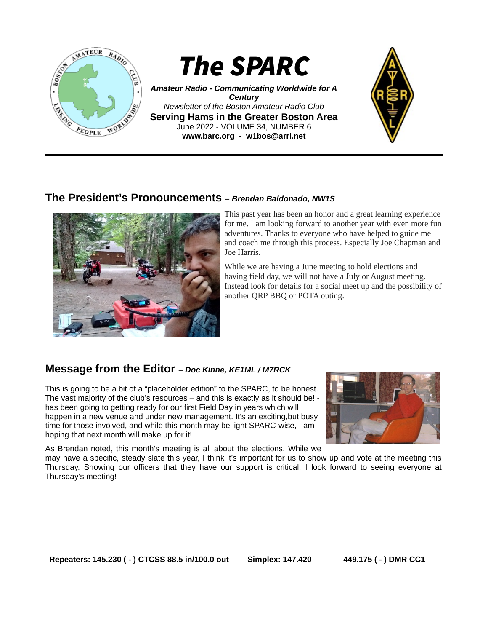

*Amateur Radio - Communicating Worldwide for A Century Newsletter of the Boston Amateur Radio Club* **Serving Hams in the Greater Boston Area** June 2022 - VOLUME 34, NUMBER 6 **www.barc.org** *-* **w1bos@arrl.net**



## **The President's Pronouncements** *– Brendan Baldonado, NW1S*



This past year has been an honor and a great learning experience for me. I am looking forward to another year with even more fun adventures. Thanks to everyone who have helped to guide me and coach me through this process. Especially Joe Chapman and Joe Harris.

While we are having a June meeting to hold elections and having field day, we will not have a July or August meeting. Instead look for details for a social meet up and the possibility of another QRP BBQ or POTA outing.

## **Message from the Editor** *– Doc Kinne, KE1ML / M7RCK*

This is going to be a bit of a "placeholder edition" to the SPARC, to be honest. The vast majority of the club's resources – and this is exactly as it should be! has been going to getting ready for our first Field Day in years which will happen in a new venue and under new management. It's an exciting,but busy time for those involved, and while this month may be light SPARC-wise, I am hoping that next month will make up for it!



As Brendan noted, this month's meeting is all about the elections. While we

may have a specific, steady slate this year, I think it's important for us to show up and vote at the meeting this Thursday. Showing our officers that they have our support is critical. I look forward to seeing everyone at Thursday's meeting!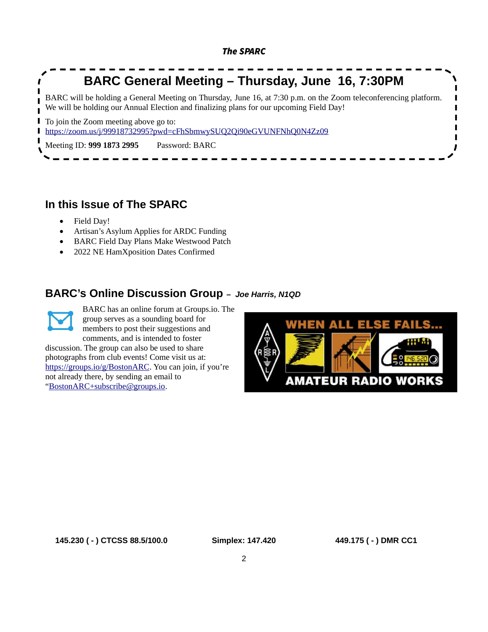

# **In this Issue of The SPARC**

- Field Day!
- Artisan's Asylum Applies for ARDC Funding
- BARC Field Day Plans Make Westwood Patch
- 2022 NE HamXposition Dates Confirmed

## **BARC's Online Discussion Group** *– Joe Harris, N1QD*



BARC has an online forum at Groups.io. The group serves as a sounding board for members to post their suggestions and comments, and is intended to foster

discussion. The group can also be used to share photographs from club events! Come visit us at: [https://groups.io/g/BostonARC.](https://groups.io/g/BostonARC) You can join, if you're not already there, by sending an email to ["BostonARC+subscribe@groups.io](mailto:BostonARC+subscribe@groups.io).

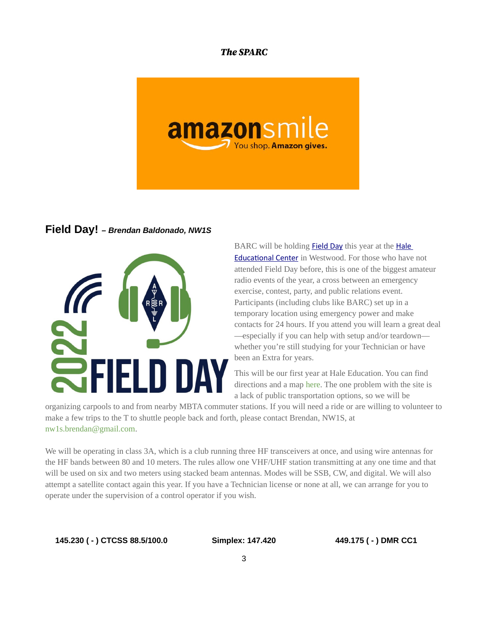

#### **Field Day!** *– Brendan Baldonado, NW1S*



BARC will be holding **[Field Day](http://www.arrl.org/field-day)** this year at the **Hale** [Educational Center](https://hale1918.org/) in Westwood. For those who have not attended Field Day before, this is one of the biggest amateur radio events of the year, a cross between an emergency exercise, contest, party, and public relations event. Participants (including clubs like BARC) set up in a temporary location using emergency power and make contacts for 24 hours. If you attend you will learn a great deal —especially if you can help with setup and/or teardown whether you're still studying for your Technician or have been an Extra for years.

This will be our first year at Hale Education. You can find directions and a map [here.](https://www.barc.org/directions-to-hale-education-westwood/) The one problem with the site is a lack of public transportation options, so we will be

organizing carpools to and from nearby MBTA commuter stations. If you will need a ride or are willing to volunteer to make a few trips to the T to shuttle people back and forth, please contact Brendan, NW1S, at [nw1s.brendan@gmail.com.](mailto:nw1s.brendan@gmail.com)

We will be operating in class 3A, which is a club running three HF transceivers at once, and using wire antennas for the HF bands between 80 and 10 meters. The rules allow one VHF/UHF station transmitting at any one time and that will be used on six and two meters using stacked beam antennas. Modes will be SSB, CW, and digital. We will also attempt a satellite contact again this year. If you have a Technician license or none at all, we can arrange for you to operate under the supervision of a control operator if you wish.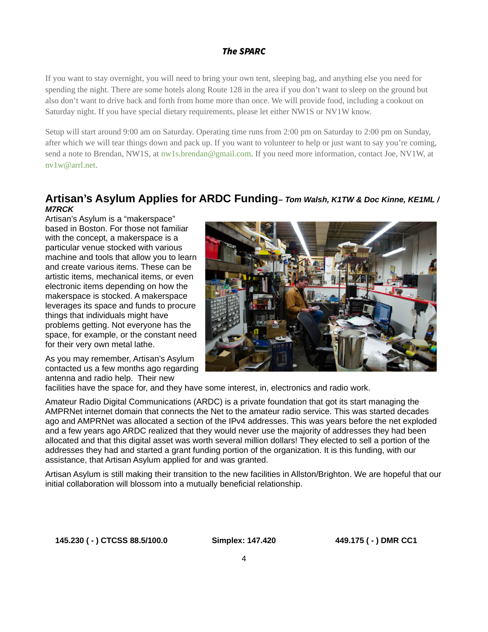If you want to stay overnight, you will need to bring your own tent, sleeping bag, and anything else you need for spending the night. There are some hotels along Route 128 in the area if you don't want to sleep on the ground but also don't want to drive back and forth from home more than once. We will provide food, including a cookout on Saturday night. If you have special dietary requirements, please let either NW1S or NV1W know.

Setup will start around 9:00 am on Saturday. Operating time runs from 2:00 pm on Saturday to 2:00 pm on Sunday, after which we will tear things down and pack up. If you want to volunteer to help or just want to say you're coming, send a note to Brendan, NW1S, at [nw1s.brendan@gmail.com](https://www.barc.org/nw1s.brendan@gmail.com). If you need more information, contact Joe, NV1W, at [nv1w@arrl.net.](https://www.barc.org/nv1w@arrl.net)

## **Artisan's Asylum Applies for ARDC Funding***– Tom Walsh, K1TW & Doc Kinne, KE1ML / M7RCK*

Artisan's Asylum is a "makerspace" based in Boston. For those not familiar with the concept, a makerspace is a particular venue stocked with various machine and tools that allow you to learn and create various items. These can be artistic items, mechanical items, or even electronic items depending on how the makerspace is stocked. A makerspace leverages its space and funds to procure things that individuals might have problems getting. Not everyone has the space, for example, or the constant need for their very own metal lathe.

As you may remember, Artisan's Asylum contacted us a few months ago regarding antenna and radio help. Their new



facilities have the space for, and they have some interest, in, electronics and radio work.

Amateur Radio Digital Communications (ARDC) is a private foundation that got its start managing the AMPRNet internet domain that connects the Net to the amateur radio service. This was started decades ago and AMPRNet was allocated a section of the IPv4 addresses. This was years before the net exploded and a few years ago ARDC realized that they would never use the majority of addresses they had been allocated and that this digital asset was worth several million dollars! They elected to sell a portion of the addresses they had and started a grant funding portion of the organization. It is this funding, with our assistance, that Artisan Asylum applied for and was granted.

Artisan Asylum is still making their transition to the new facilities in Allston/Brighton. We are hopeful that our initial collaboration will blossom into a mutually beneficial relationship.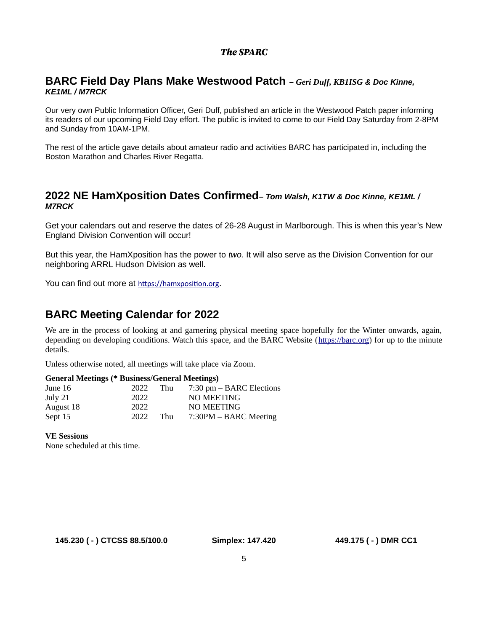### **BARC Field Day Plans Make Westwood Patch** *– Geri Duff, KB1ISG & Doc Kinne, KE1ML / M7RCK*

Our very own Public Information Officer, Geri Duff, published an article in the Westwood Patch paper informing its readers of our upcoming Field Day effort. The public is invited to come to our Field Day Saturday from 2-8PM and Sunday from 10AM-1PM.

The rest of the article gave details about amateur radio and activities BARC has participated in, including the Boston Marathon and Charles River Regatta.

## **2022 NE HamXposition Dates Confirmed***– Tom Walsh, K1TW & Doc Kinne, KE1ML / M7RCK*

Get your calendars out and reserve the dates of 26-28 August in Marlborough. This is when this year's New England Division Convention will occur!

But this year, the HamXposition has the power to *two.* It will also serve as the Division Convention for our neighboring ARRL Hudson Division as well.

You can find out more at [https://hamxposition.org](https://hamxposition.org/).

## **BARC Meeting Calendar for 2022**

We are in the process of looking at and garnering physical meeting space hopefully for the Winter onwards, again, depending on developing conditions. Watch this space, and the BARC Website ([https://barc.org](https://barc.org/)) for up to the minute details.

Unless otherwise noted, all meetings will take place via Zoom.

#### **General Meetings (\* Business/General Meetings)**

| June 16   | 2022 | Thu | $7:30$ pm $-$ BARC Elections |
|-----------|------|-----|------------------------------|
| July 21   | 2022 |     | NO MEETING                   |
| August 18 | 2022 |     | NO MEETING                   |
| Sept 15   | 2022 | Thu | 7:30PM – BARC Meeting        |

**VE Sessions**

None scheduled at this time.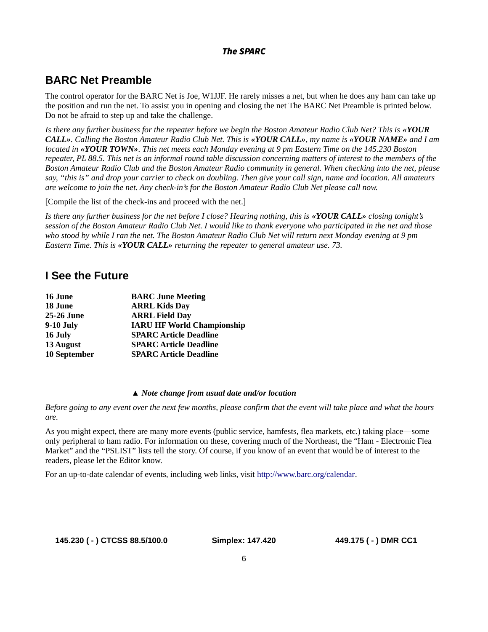# **BARC Net Preamble**

The control operator for the BARC Net is Joe, W1JJF. He rarely misses a net, but when he does any ham can take up the position and run the net. To assist you in opening and closing the net The BARC Net Preamble is printed below. Do not be afraid to step up and take the challenge.

*Is there any further business for the repeater before we begin the Boston Amateur Radio Club Net? This is «YOUR CALL». Calling the Boston Amateur Radio Club Net. This is «YOUR CALL», my name is «YOUR NAME» and I am located in «YOUR TOWN». This net meets each Monday evening at 9 pm Eastern Time on the 145.230 Boston repeater, PL 88.5. This net is an informal round table discussion concerning matters of interest to the members of the Boston Amateur Radio Club and the Boston Amateur Radio community in general. When checking into the net, please say, "this is" and drop your carrier to check on doubling. Then give your call sign, name and location. All amateurs are welcome to join the net. Any check-in's for the Boston Amateur Radio Club Net please call now.* 

[Compile the list of the check-ins and proceed with the net.]

Is there any further business for the net before I close? Hearing nothing, this is «**YOUR CALL**» closing tonight's *session of the Boston Amateur Radio Club Net. I would like to thank everyone who participated in the net and those who stood by while I ran the net. The Boston Amateur Radio Club Net will return next Monday evening at 9 pm Eastern Time. This is «YOUR CALL» returning the repeater to general amateur use. 73.*

## **I See the Future**

| 16 June      | <b>BARC June Meeting</b>          |
|--------------|-----------------------------------|
| 18 June      | <b>ARRL Kids Day</b>              |
| 25-26 June   | <b>ARRL Field Day</b>             |
| 9-10 July    | <b>IARU HF World Championship</b> |
| 16 July      | <b>SPARC Article Deadline</b>     |
| 13 August    | <b>SPARC Article Deadline</b>     |
| 10 September | <b>SPARC Article Deadline</b>     |
|              |                                   |

#### *▲ Note change from usual date and/or location*

*Before going to any event over the next few months, please confirm that the event will take place and what the hours are.*

As you might expect, there are many more events (public service, hamfests, flea markets, etc.) taking place—some only peripheral to ham radio. For information on these, covering much of the Northeast, the "Ham - Electronic Flea Market" and the "PSLIST" lists tell the story. Of course, if you know of an event that would be of interest to the readers, please let the Editor know.

For an up-to-date calendar of events, including web links, visit <http://www.barc.org/calendar>.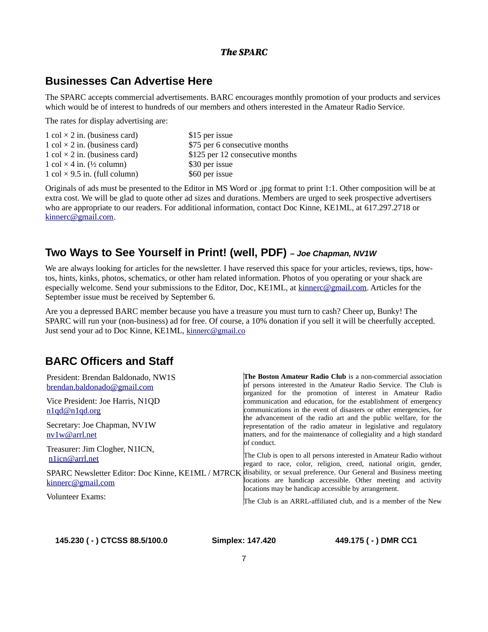## **Businesses Can Advertise Here**

The SPARC accepts commercial advertisements. BARC encourages monthly promotion of your products and services which would be of interest to hundreds of our members and others interested in the Amateur Radio Service.

The rates for display advertising are:

| 1 col $\times$ 2 in. (business card) | \$15 per issue                  |
|--------------------------------------|---------------------------------|
| 1 col $\times$ 2 in. (business card) | \$75 per 6 consecutive months   |
| 1 col $\times$ 2 in. (business card) | \$125 per 12 consecutive months |
| 1 col $\times$ 4 in. (1/2 column)    | \$30 per issue                  |
| 1 col $\times$ 9.5 in. (full column) | \$60 per issue                  |

Originals of ads must be presented to the Editor in MS Word or .jpg format to print 1:1. Other composition will be at extra cost. We will be glad to quote other ad sizes and durations. Members are urged to seek prospective advertisers who are appropriate to our readers. For additional information, contact Doc Kinne, KE1ML, at 617.297.2718 or [kinnerc@gmail.com.](mailto:kinnerc@gmail.com)

## **Two Ways to See Yourself in Print! (well, PDF)** *– Joe Chapman, NV1W*

We are always looking for articles for the newsletter. I have reserved this space for your articles, reviews, tips, howtos, hints, kinks, photos, schematics, or other ham related information. Photos of you operating or your shack are especially welcome. Send your submissions to the Editor, Doc, KE1ML, at [kinnerc@gmail.com](mailto:kinnerc@gmail.com). Articles for the September issue must be received by September 6.

Are you a depressed BARC member because you have a treasure you must turn to cash? Cheer up, Bunky! The SPARC will run your (non-business) ad for free. Of course, a 10% donation if you sell it will be cheerfully accepted. Just send your ad to Doc Kinne, KE1ML, [kinnerc@gmail.co](mailto:kinnerc@gmail.co)

## **BARC Officers and Staff**

| President: Brendan Baldonado, NW1S               | The Boston Amateur Radio Club is a non-commercial association                                                                                                                                                                                 |
|--------------------------------------------------|-----------------------------------------------------------------------------------------------------------------------------------------------------------------------------------------------------------------------------------------------|
| brendan.baldonado@gmail.com                      | of persons interested in the Amateur Radio Service. The Club is                                                                                                                                                                               |
| Vice President: Joe Harris, N1QD                 | organized for the promotion of interest in Amateur Radio<br>communication and education, for the establishment of emergency                                                                                                                   |
| n1qd@n1qd.org                                    | communications in the event of disasters or other emergencies, for                                                                                                                                                                            |
| Secretary: Joe Chapman, NV1W<br>nv1w@arrl.net    | the advancement of the radio art and the public welfare, for the<br>representation of the radio amateur in legislative and regulatory<br>matters, and for the maintenance of collegiality and a high standard<br>of conduct.                  |
| Treasurer: Jim Clogher, N1ICN,<br>n1icn@arrl.net | The Club is open to all persons interested in Amateur Radio without<br>regard to race, color, religion, creed, national origin, gender,                                                                                                       |
| kinnero@gmail.com                                | SPARC Newsletter Editor: Doc Kinne, KE1ML / M7RCK disability, or sexual preference. Our General and Business meeting<br>locations are handicap accessible. Other meeting and activity<br>locations may be handicap accessible by arrangement. |
| <b>Volunteer Exams:</b>                          | The Club is an ARRL-affiliated club, and is a member of the New                                                                                                                                                                               |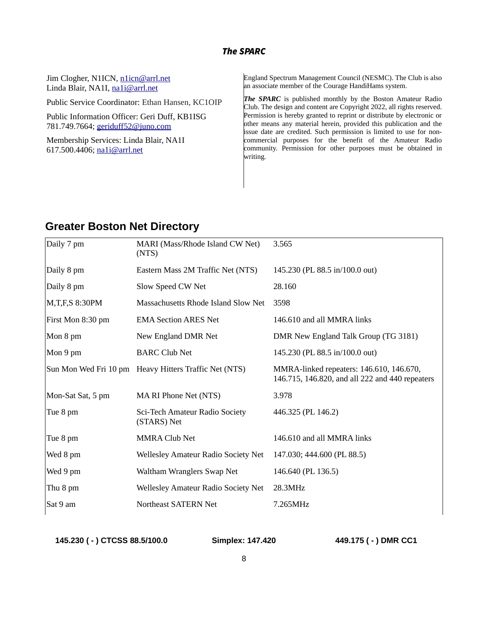Jim Clogher, N1ICN, [n1icn@arrl.net](mailto:n1icn@arrl.net) Linda Blair, NA1I, [na1i@arrl.net](mailto:na1i@arrl.net)

Public Service Coordinator: Ethan Hansen, KC1OIP

Public Information Officer: Geri Duff, KB1ISG 781.749.7664; geriduff52@juno.com

Membership Services: Linda Blair, NA1I 617.500.4406; [na1i@arrl.net](mailto:na1i@arrl.net)

England Spectrum Management Council (NESMC). The Club is also an associate member of the Courage HandiHams system.

**The SPARC** is published monthly by the Boston Amateur Radio Club. The design and content are Copyright 2022, all rights reserved. Permission is hereby granted to reprint or distribute by electronic or other means any material herein, provided this publication and the issue date are credited. Such permission is limited to use for noncommercial purposes for the benefit of the Amateur Radio community. Permission for other purposes must be obtained in writing.

## **Greater Boston Net Directory**

| Daily 7 pm          | MARI (Mass/Rhode Island CW Net)<br>(NTS)              | 3.565                                                                                       |
|---------------------|-------------------------------------------------------|---------------------------------------------------------------------------------------------|
| Daily 8 pm          | Eastern Mass 2M Traffic Net (NTS)                     | 145.230 (PL 88.5 in/100.0 out)                                                              |
| Daily 8 pm          | Slow Speed CW Net                                     | 28.160                                                                                      |
| $M, T, F, S$ 8:30PM | Massachusetts Rhode Island Slow Net                   | 3598                                                                                        |
| First Mon 8:30 pm   | <b>EMA Section ARES Net</b>                           | 146.610 and all MMRA links                                                                  |
| Mon 8 pm            | New England DMR Net                                   | DMR New England Talk Group (TG 3181)                                                        |
| Mon 9 pm            | <b>BARC Club Net</b>                                  | 145.230 (PL 88.5 in/100.0 out)                                                              |
|                     | Sun Mon Wed Fri 10 pm Heavy Hitters Traffic Net (NTS) | MMRA-linked repeaters: 146.610, 146.670,<br>146.715, 146.820, and all 222 and 440 repeaters |
| Mon-Sat Sat, 5 pm   | MA RI Phone Net (NTS)                                 | 3.978                                                                                       |
| Tue 8 pm            | Sci-Tech Amateur Radio Society<br>(STARS) Net         | 446.325 (PL 146.2)                                                                          |
| Tue 8 pm            | <b>MMRA Club Net</b>                                  | 146.610 and all MMRA links                                                                  |
| Wed 8 pm            | Wellesley Amateur Radio Society Net                   | 147.030; 444.600 (PL 88.5)                                                                  |
| Wed 9 pm            | Waltham Wranglers Swap Net                            | 146.640 (PL 136.5)                                                                          |
| Thu 8 pm            | Wellesley Amateur Radio Society Net                   | 28.3MHz                                                                                     |
| Sat 9 am            | Northeast SATERN Net                                  | 7.265MHz                                                                                    |